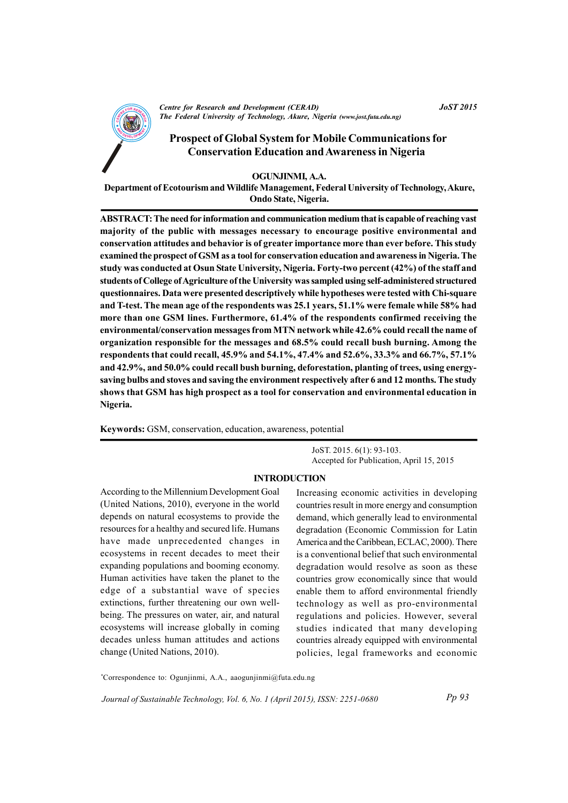

*<u>Centre for Research and Development (CERAD)*</u> *Fhe Federal University of Technology, Akure, Nigeria (www.jost.futa.edu.ng)* 

# **Prospect of Global System for Mobile Communications for conservation Education and Awareness in Nigeria**

#### **OGUNJINMI, A.A.**

Department of Ecotourism and Wildlife Management, Federal University of Technology, Akure,  $O$ ndo State, Nigeria.

ABSTRACT: The need for information and communication medium that is capable of reaching vast majority of the public with messages necessary to encourage positive environmental and conservation attitudes and behavior is of greater importance more than ever before. This study examined the prospect of GSM as a tool for conservation education and awareness in Nigeria. The study was conducted at Osun State University, Nigeria. Forty-two percent (42%) of the staff and students of College of Agriculture of the University was sampled using self-administered structured questionnaires. Data were presented descriptively while hypotheses were tested with Chi-square and T-test. The mean age of the respondents was 25.1 years, 51.1% were female while 58% had more than one GSM lines. Furthermore, 61.4% of the respondents confirmed receiving the **environmental/ oc nservation me ss agesfromM NT network hw ile 42.6% could r ce all the name of** organization responsible for the messages and 68.5% could recall bush burning. Among the respondents that could recall, 45.9% and 54.1%, 47.4% and 52.6%, 33.3% and 66.7%, 57.1% and 42.9%, and 50.0% could recall bush burning, deforestation, planting of trees, using energysaving bulbs and stoves and saving the environment respectively after 6 and 12 months. The study shows that GSM has high prospect as a tool for conservation and environmental education in **Nigeria.**

**Keywords:** GSM, conservation, education, awareness, potential

JoST. 2015. 6(1): 93-103. Accepted for Publication, April 15, 2015

#### **INTRODUCTION**

According to the Millennium Development Goal (United Nations,  $2010$ ), everyone in the world depends on natural ecosystems to provide the resources for a healthy and secured life. Humans have made unprecedented changes in ecosystems in recent decades to meet their expanding populations and booming economy. Human activities have taken the planet to the edge of a substantial wave of species extinctions, further threatening our own wellbeing. The pressures on water, air, and natural ecosystems will increase globally in coming decades unless human attitudes and actions change (United Nations, 2010).

Increasing economic activities in developing countries result in more energy and consumption demand, which generally lead to environmental degradation (Economic Commission for Latin America and the Caribbean, ECLAC, 2000). There is a conventional belief that such environmental degradation would resolve as soon as these countries grow economically since that would enable them to afford environmental friendly technology as well as pro-environmental regulations and policies. However, several studies indicated that many developing countries already equipped with environmental policies, legal frameworks and economic

\*Correspondence to: Ogunjinmi, A.A., aaogunjinmi@futa.edu.ng

Journal of Sustainable Technology, Vol. 6, No. 1 (April 2015), ISSN: 2251-0680

 $JoST$  2015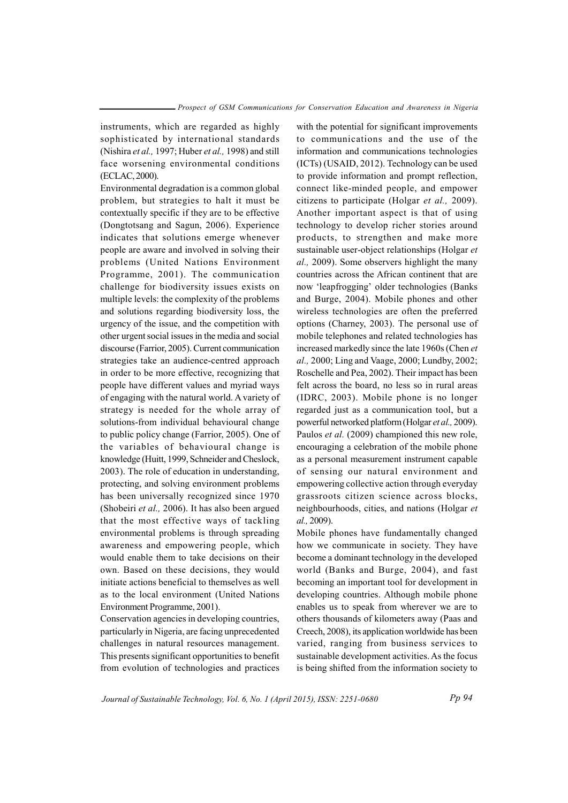instruments, which are regarded as highly sophisticated by international standards (Nishira et al., 1997; Huber et al., 1998) and still face worsening environmental conditions (ECLAC, 2000).

Environmental degradation is a common global problem, but strategies to halt it must be contextually specific if they are to be effective (Dongtotsang and Sagun, 2006). Experience indicates that solutions emerge whenever people are aware and involved in solving their problems (United Nations Environment Programme, 2001). The communication challenge for biodiversity issues exists on multiple levels: the complexity of the problems and solutions regarding biodiversity loss, the urgency of the issue, and the competition with o the rurgent social issues in the media and social discourse (Farrior, 2005). Current communication strategies take an audience-centred approach in order to be more effective, recognizing that people have different values and myriad ways of engaging with the natural world. A variety of strategy is needed for the whole array of solutions-from individual behavioural change to public policy change (Farrior, 2005). One of the variables of behavioural change is knowledge (Huitt, 1999, Schneider and Cheslock, 2003). The role of education in understanding, protecting, and solving environment problems has been universally recognized since 1970 (Shobeiri *et al.*, 2006). It has also been argued that the most effective ways of tackling environmental problems is through spreading aw areness and empowering people, which would enable them to take decisions on their own. Based on these decisions, they would initiate actions beneficial to themselves as well as to the local environment (United Nations Environment Programme, 2001).

Conservation agencies in developing countries, particularly in Nigeria, are facing unprecedented challenges in natural resources management. This presents significant opportunities to benefit from evolution of technologies and practices

with the potential for significant improvements to communications and the use of the information and communications technologies  $(ICTs) (USAID, 2012)$ . Technology can be used to provide information and prompt reflection, connect like-minded people, and empower citizens to participate (Holgar *et al.*, 2009). Another important aspect is that of using technology to develop richer stories around products, to strengthen and make more sustainable user-object relationships (Holgar et *al.*, 2009). Some observers highlight the many countries across the African continent that are now 'leapfrogging' older technologies (Banks and Burge, 2004). Mobile phones and other wireless technologies are often the preferred options (Charney, 2003). The personal use of mobile telephones and related technologies has increased markedly since the late 1960s (Chen *et*) *al.,* 2000; Ling and Vaage, 2000; Lundby, 2002; Roschelle and Pea, 2002). Their impact has been felt across the board, no less so in rural areas  $(IDRC, 2003)$ . Mobile phone is no longer regarded just as a communication tool, but a powerful networked platform (Holgar et al., 2009). Paulos *et al.* (2009) championed this new role, encouraging a celebration of the mobile phone as a personal measurement instrument capable of sensing our natural environment and empowering collective action through everyday grassroots citizen science across blocks, neighbourhoods, cities, and nations (Holgar *et al.*, 2009).

Mobile phones have fundamentally changed how we communicate in society. They have become a dominant technology in the developed world (Banks and Burge, 2004), and fast becoming an important tool for development in developing countries. Although mobile phone enables us to speak from wherever we are to others thousands of kilometers away (Paas and Creech, 2008), its application worldwide has been varied, ranging from business services to sustainable development activities. As the focus is being shifted from the information society to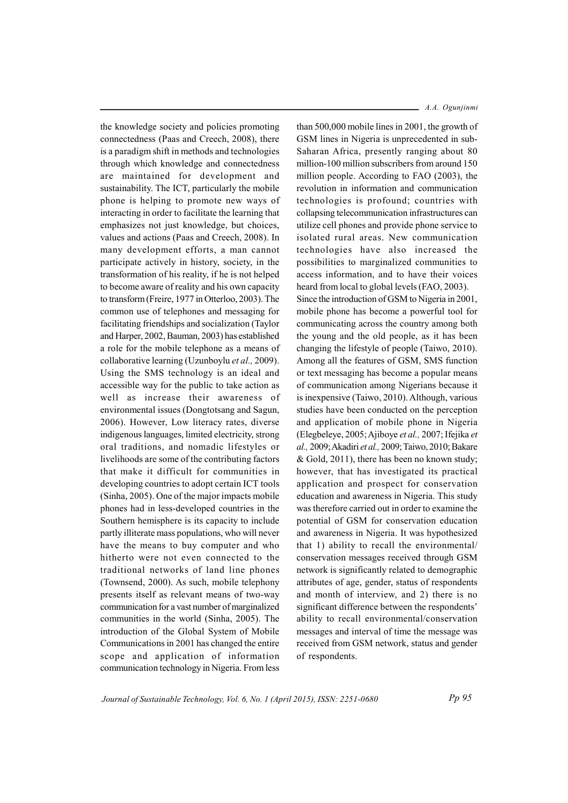the knowledge society and policies promoting connectedness (Paas and Creech, 2008), there is a paradigm shift in methods and technologies through which knowledge and connectedness are maintained for development and sustainability. The ICT, particularly the mobile phone is helping to promote new ways of interacting in order to facilitate the learning that emphasizes not just knowledge, but choices. values and actions (Paas and Creech, 2008). In many development efforts, a man cannot participate actively in history, society, in the transformation of his reality, if he is not helped to become aware of reality and his own capacity to transform (Freire, 1977 in Otterloo, 2003). The common use of telephones and messaging for facilitating friendships and socialization (Taylor and Harper, 2002, Bauman, 2003) has established a role for the mobile telephone as a means of collaborative learning (Uzunboylu et al., 2009). Using the SMS technology is an ideal and accessible way for the public to take action as well as increase their awareness of environmental issues (Dongtotsang and Sagun, 2006). However, Low literacy rates, diverse indigenous languages, limited electricity, strong oral traditions, and nomadic lifestyles or livelihoods are some of the contributing factors that make it difficult for communities in developing countries to adopt certain ICT tools (Sinha, 2005). One of the major impacts mobile phones had in less-developed countries in the Southern hemisphere is its capacity to include partly illiterate mass populations, who will never have the means to buy computer and who hitherto were not even connected to the traditional networks of land line phones (Townsend, 2000). As such, mobile telephony presents itself as relevant means of two-way communication for a vast number of marginalized communities in the world (Sinha, 2005). The introduction of the Global System of Mobile Communications in 2001 has changed the entire scope and application of information communication technology in Nigeria. From less

 $-$  A.A. Oguniinmi

than 500,000 mobile lines in 2001, the growth of GSM lines in Nigeria is unprecedented in sub-Saharan Africa, presently ranging about 80 million-100 million subscribers from around 150 million people. According to FAO (2003), the revolution in information and communication technologies is profound; countries with collapsing telecommunication infrastructures can utilize cell phones and provide phone service to isolated rural areas. New communication technologies have also increased the possibilities to marginalized communities to access information, and to have their voices heard from local to global levels (FAO, 2003). Since the introduction of GSM to Nigeria in 2001, mobile phone has become a powerful tool for communicating across the country among both the young and the old people, as it has been changing the lifestyle of people (Taiwo, 2010). Among all the features of GSM, SMS function or text messaging has become a popular means of communication among Nigerians because it is inexpensive (Taiwo, 2010). Although, various studies have been conducted on the perception and application of mobile phone in Nigeria (Elegbeleye, 2005; Ajiboye et al., 2007; Ifejika et al., 2009; Akadiri et al., 2009; Taiwo, 2010; Bakare & Gold, 2011), there has been no known study; however, that has investigated its practical application and prospect for conservation education and awareness in Nigeria. This study was therefore carried out in order to examine the potential of GSM for conservation education and awareness in Nigeria. It was hypothesized that 1) ability to recall the environmental/ conservation messages received through GSM network is significantly related to demographic attributes of age, gender, status of respondents and month of interview, and 2) there is no significant difference between the respondents' ability to recall environmental/conservation messages and interval of time the message was received from GSM network, status and gender of respondents.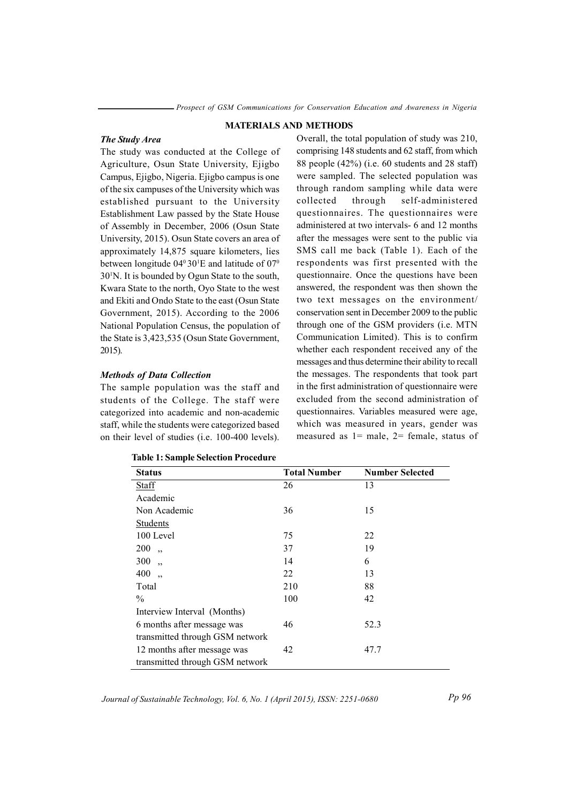#### **MATERIALS AND METHODS**

#### The Study Area

The study was conducted at the College of Agriculture, Osun State University, Ejigbo Campus, Ejigbo, Nigeria. Ejigbo campus is one of the six campuses of the University which was established pursuant to the University Establishment Law passed by the State House of Assembly in December, 2006 (Osun State University, 2015). Osun State covers an area of approximately 14,875 square kilometers, lies between longitude  $04^{\circ}30^{\prime}$ E and latitude of  $07^{\circ}$ 30<sup>1</sup>N. It is bounded by Ogun State to the south, Kwara State to the north, Oyo State to the west and Ekiti and Ondo State to the east (Osun State Government, 2015). According to the 2006 National Population Census, the population of the State is 3,423,535 (Osun State Government,  $2015$ ).

#### **Methods of Data Collection**

The sample population was the staff and students of the College. The staff were categorized into academic and non-academic staff, while the students were categorized based on their level of studies (i.e. 100-400 levels).

| <b>Status</b>                   | <b>Total Number</b> | <b>Number Selected</b> |
|---------------------------------|---------------------|------------------------|
| <b>Staff</b>                    | 26                  | 13                     |
| Academic                        |                     |                        |
| Non Academic                    | 36                  | 15                     |
| <b>Students</b>                 |                     |                        |
| 100 Level                       | 75                  | 22                     |
| 200<br>$\ddot{\phantom{0}}$     | 37                  | 19                     |
| 300<br>,                        | 14                  | 6                      |
| 400<br>,                        | 22                  | 13                     |
| Total                           | 210                 | 88                     |
| $\frac{0}{0}$                   | 100                 | 42                     |
| Interview Interval (Months)     |                     |                        |
| 6 months after message was      | 46                  | 52.3                   |
| transmitted through GSM network |                     |                        |
| 12 months after message was     | 42                  | 47.7                   |
| transmitted through GSM network |                     |                        |

## **Table 1: Sample Selection Procedure**

Journal of Sustainable Technology, Vol. 6, No. 1 (April 2015), ISSN: 2251-0680

Overall, the total population of study was 210, comprising 148 students and 62 staff, from which 88 people  $(42\%)$  (i.e. 60 students and 28 staff) were sampled. The selected population was through random sampling while data were collected through self-administered questionnaires. The questionnaires were administered at two intervals- 6 and 12 months after the messages were sent to the public via SMS call me back (Table 1). Each of the respondents was first presented with the questionnaire. Once the questions have been answered, the respondent was then shown the two text messages on the environment/ conservation sent in December 2009 to the public through one of the GSM providers (i.e. MTN Communication Limited). This is to confirm whether each respondent received any of the messages and thus determine their ability to recall the messages. The respondents that took part in the first administration of questionnaire were excluded from the second administration of questionnaires. Variables measured were age, which was measured in years, gender was measured as  $1$  = male,  $2$  = female, status of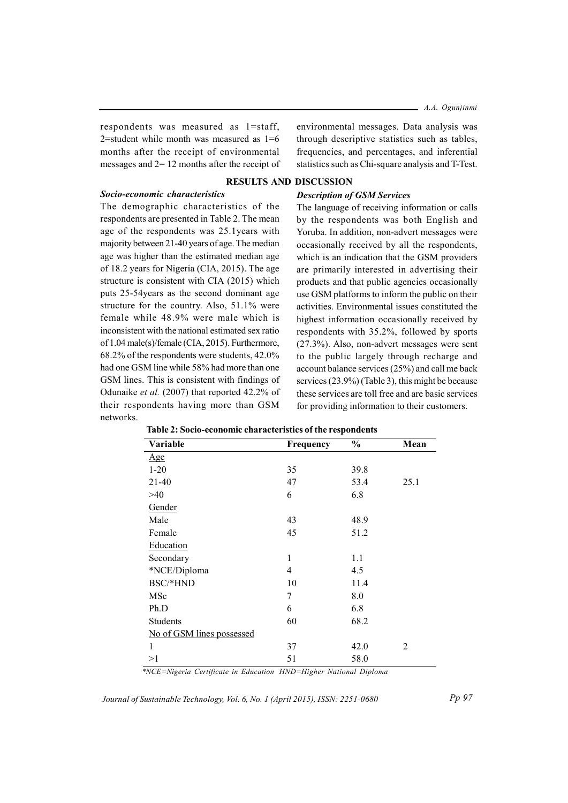respondents was measured as 1=staff, 2=student while month was measured as  $1=6$ months after the receipt of environmental messages and  $2 = 12$  months after the receipt of environmental messages. Data analysis was through descriptive statistics such as tables, frequencies, and percentages, and inferential statistics such as Chi-square analysis and T-Test.

## **RESULTS AND DISCUSSION**

# Socio-economic characteristics

The demographic characteristics of the respondents are presented in Table 2. The mean age of the respondents was 25.1years with majority between 21-40 years of age. The median age was higher than the estimated median age of 18.2 years for Nigeria (CIA, 2015). The age structure is consistent with CIA (2015) which puts 25-54years as the second dominant age structure for the country. Also, 51.1% were female while 48.9% were male which is inconsistent with the national estimated sex ratio of 1.04 male(s)/female (CIA, 2015). Furthermore, 68.2% of the respondents were students, 42.0% had one GSM line while 58% had more than one GSM lines. This is consistent with findings of Odunaike et al. (2007) that reported 42.2% of their respondents having more than GSM networks.

## **Description of GSM Services**

The language of receiving information or calls by the respondents was both English and Yoruba. In addition, non-advert messages were occasionally received by all the respondents, which is an indication that the GSM providers are primarily interested in advertising their products and that public agencies occasionally use GSM platforms to inform the public on their activities. Environmental issues constituted the highest information occasionally received by respondents with 35.2%, followed by sports  $(27.3\%)$ . Also, non-advert messages were sent to the public largely through recharge and account balance services (25%) and call me back services  $(23.9\%)$  (Table 3), this might be because these services are toll free and are basic services for providing information to their customers.

| Variable                  | Frequency      | $\frac{0}{0}$ | Mean |
|---------------------------|----------------|---------------|------|
| <u>Age</u>                |                |               |      |
| $1 - 20$                  | 35             | 39.8          |      |
| 21-40                     | 47             | 53.4          | 25.1 |
| >40                       | 6              | 6.8           |      |
| Gender                    |                |               |      |
| Male                      | 43             | 48.9          |      |
| Female                    | 45             | 51.2          |      |
| Education                 |                |               |      |
| Secondary                 | 1              | 1.1           |      |
| *NCE/Diploma              | $\overline{4}$ | 4.5           |      |
| BSC/*HND                  | 10             | 11.4          |      |
| MSc                       | 7              | 8.0           |      |
| Ph.D                      | 6              | 6.8           |      |
| Students                  | 60             | 68.2          |      |
| No of GSM lines possessed |                |               |      |
| 1                         | 37             | 42.0          | 2    |
| >1                        | 51             | 58.0          |      |

|  | <b>Fable 2: Socio-economic characteristics of the respondents</b> |  |  |  |
|--|-------------------------------------------------------------------|--|--|--|
|  |                                                                   |  |  |  |

\*NCE=Nigeria Certificate in Education HND=Higher National Diploma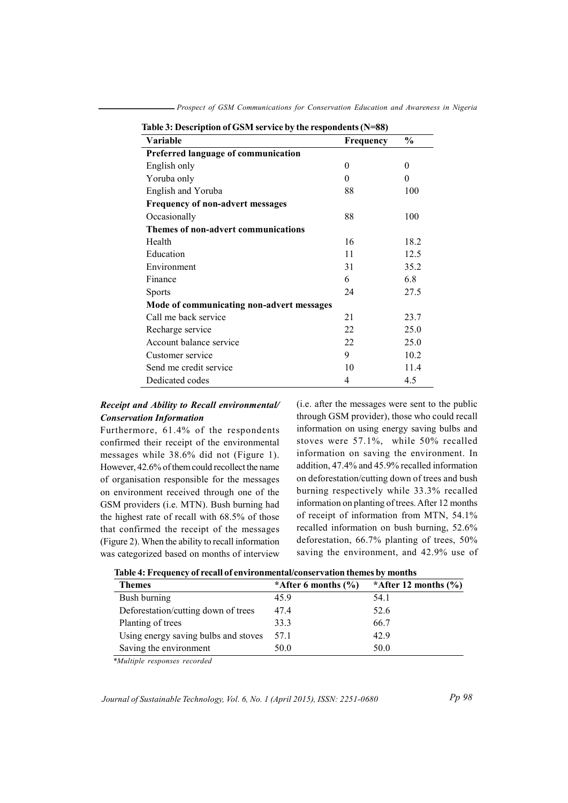| Table 3: Description of GSM service by the respondents (N=88) |           |          |  |  |  |
|---------------------------------------------------------------|-----------|----------|--|--|--|
| Variable                                                      | Frequency | $\%$     |  |  |  |
| Preferred language of communication                           |           |          |  |  |  |
| English only                                                  | $\theta$  | $\theta$ |  |  |  |
| Yoruba only                                                   | $\theta$  | $\theta$ |  |  |  |
| English and Yoruba                                            | 88        | 100      |  |  |  |
| <b>Frequency of non-advert messages</b>                       |           |          |  |  |  |
| Occasionally                                                  | 88        | 100      |  |  |  |
| Themes of non-advert communications                           |           |          |  |  |  |
| Health                                                        | 16        | 18.2     |  |  |  |
| Education                                                     | 11        | 12.5     |  |  |  |
| Environment                                                   | 31        | 35.2     |  |  |  |
| Finance                                                       | 6         | 6.8      |  |  |  |
| <b>Sports</b>                                                 | 24        | 27.5     |  |  |  |
| Mode of communicating non-advert messages                     |           |          |  |  |  |
| Call me back service                                          | 21        | 23.7     |  |  |  |
| Recharge service                                              | 22        | 25.0     |  |  |  |
| Account balance service                                       | 22        | 25.0     |  |  |  |
| Customer service                                              | 9         | 10.2     |  |  |  |
| Send me credit service                                        | 10        | 11.4     |  |  |  |
| Dedicated codes                                               | 4         | 4.5      |  |  |  |

- Prospect of GSM Communications for Conservation Education and Awareness in Nigeria

# Receipt and Ability to Recall environmental/ **Conservation Information**

Furthermore, 61.4% of the respondents confirmed their receipt of the environmental messages while 38.6% did not (Figure 1). However, 42.6% of them could recollect the name of organisation responsible for the messages on environment received through one of the GSM providers (i.e. MTN). Bush burning had the highest rate of recall with 68.5% of those that confirmed the receipt of the messages (Figure 2). When the ability to recall information was categorized based on months of interview (i.e. after the messages were sent to the public through GSM provider), those who could recall information on using energy saving bulbs and stoves were 57.1%, while 50% recalled information on saving the environment. In addition, 47.4% and 45.9% recalled information on deforestation/cutting down of trees and bush burning respectively while 33.3% recalled information on planting of trees. After 12 months of receipt of information from MTN, 54.1% recalled information on bush burning, 52.6% deforestation,  $66.7\%$  planting of trees,  $50\%$ saving the environment, and 42.9% use of

| <b>Themes</b>                        | *After 6 months $(\% )$ | *After 12 months $(\% )$ |
|--------------------------------------|-------------------------|--------------------------|
| Bush burning                         | 45.9                    | 54.1                     |
| Deforestation/cutting down of trees  | 47.4                    | 52.6                     |
| Planting of trees                    | 33.3                    | 66.7                     |
| Using energy saving bulbs and stoves | 57.1                    | 42.9                     |
| Saving the environment               | 50.0                    | 50.0                     |

\*Multiple responses recorded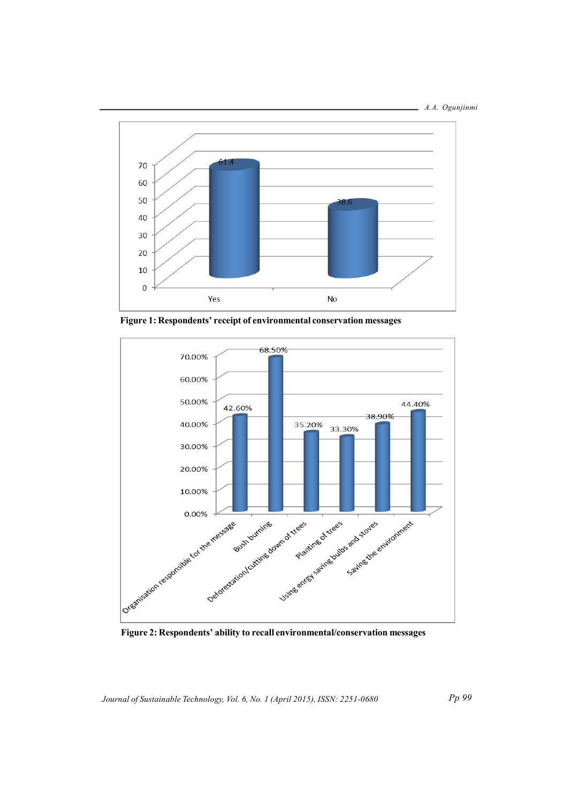



Figure 1: Respondents' receipt of environmental conservation messages



Figure 2: Respondents' ability to recall environmental/conservation messages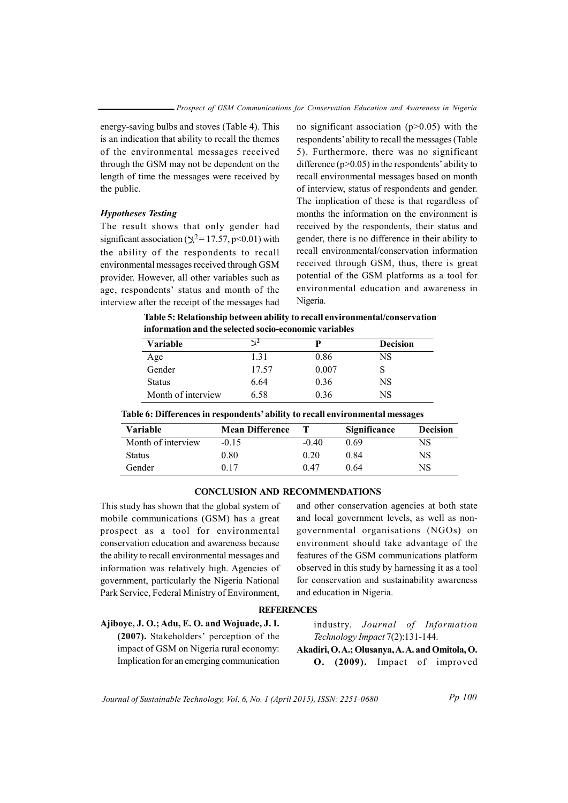energy-saving bulbs and stoves (Table 4). This is an indication that ability to recall the themes of the environmental messages received through the GSM may not be dependent on the length of time the messages were received by the public.

## **Hypotheses Testing**

The result shows that only gender had significant association ( $\chi^2$ = 17.57, p<0.01) with the ability of the respondents to recall environmental messages received through GSM provider. However, all other variables such as age, respondents' status and month of the interview after the receipt of the messages had no significant association ( $p>0.05$ ) with the respondents' ability to recall the messages (Table 5). Furthermore, there was no significant difference ( $p > 0.05$ ) in the respondents' ability to recall environmental messages based on month of interview, status of respondents and gender. The implication of these is that regardless of months the information on the environment is received by the respondents, their status and gender, there is no difference in their ability to recall environmental/conservation information received through GSM, thus, there is great potential of the GSM platforms as a tool for environmental education and awareness in Nigeria.

Table 5: Relationship between ability to recall environmental/conservation information and the selected socio-economic variables

| <b>Variable</b>    | N∸    | D     | <b>Decision</b> |  |
|--------------------|-------|-------|-----------------|--|
| Age                | 1.31  | 0.86  | NS              |  |
| Gender             | 17.57 | 0.007 |                 |  |
| <b>Status</b>      | 6.64  | 0.36  | NS              |  |
| Month of interview | 6.58  | 0.36  | NS              |  |

Table 6: Differences in respondents' ability to recall environmental messages

| Variable           | <b>Mean Difference</b> |         | <b>Significance</b> | <b>Decision</b> |
|--------------------|------------------------|---------|---------------------|-----------------|
| Month of interview | $-0.15$                | $-0.40$ | 0.69                | NS              |
| <b>Status</b>      | $0.80\,$               | 0.20    | 0.84                | NS              |
| Gender             | 0.17                   | 0.47    | 0 64                | NS              |

#### **CONCLUSION AND RECOMMENDATIONS**

This study has shown that the global system of mobile communications (GSM) has a great prospect as a tool for environmental conservation education and awareness because the ability to recall environmental messages and information was relatively high. Agencies of government, particularly the Nigeria National Park Service, Federal Ministry of Environment,

and other conservation agencies at both state and local government levels, as well as nongovernmental organisations (NGOs) on environment should take advantage of the features of the GSM communications platform observed in this study by harnessing it as a tool for conservation and sustainability awareness and education in Nigeria.

#### **REFERENCES**

Ajiboye, J. O.; Adu, E. O. and Wojuade, J. I. (2007). Stakeholders' perception of the impact of GSM on Nigeria rural economy: Implication for an emerging communication

industry. Journal of Information Technology Impact 7(2):131-144.

Akadiri, O.A.; Olusanya, A.A. and Omitola, O. O. (2009). Impact of improved

Journal of Sustainable Technology, Vol. 6, No. 1 (April 2015), ISSN: 2251-0680

Pp 100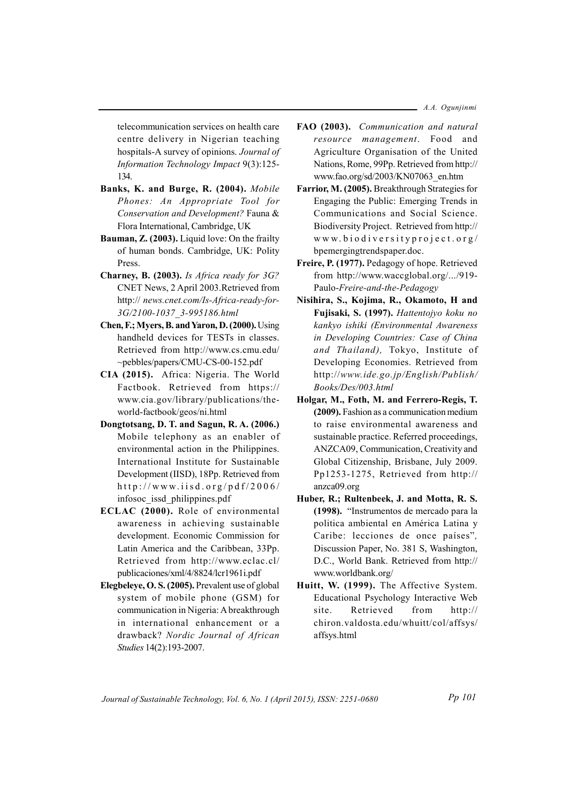$-$  A.A. Oguniinmi

telecommunication services on health care centre delivery in Nigerian teaching hospitals-A survey of opinions. Journal of Information Technology Impact 9(3):125-134.

- Banks, K. and Burge, R. (2004). Mobile Phones: An Appropriate Tool for Conservation and Development? Fauna & Flora International, Cambridge, UK
- Bauman, Z. (2003). Liquid love: On the frailty of human bonds. Cambridge, UK: Polity Press
- Charney, B. (2003). Is Africa ready for 3G? CNET News, 2 April 2003. Retrieved from http:// news.cnet.com/Is-Africa-ready-for-3G/2100-1037 3-995186.html
- Chen, F.; Myers, B. and Yaron, D. (2000). Using handheld devices for TESTs in classes. Retrieved from http://www.cs.cmu.edu/ ~pebbles/papers/CMU-CS-00-152.pdf
- CIA (2015). Africa: Nigeria. The World Factbook. Retrieved from https:// www.cia.gov/library/publications/theworld-factbook/geos/ni.html
- Dongtotsang, D. T. and Sagun, R. A. (2006.) Mobile telephony as an enabler of environmental action in the Philippines. International Institute for Sustainable Development (IISD), 18Pp. Retrieved from http://www.iisd.org/pdf/2006/ infosoc issd philippines.pdf
- ECLAC (2000). Role of environmental awareness in achieving sustainable development. Economic Commission for Latin America and the Caribbean, 33Pp. Retrieved from http://www.eclac.cl/ publicaciones/xml/4/8824/lcr1961i.pdf
- Elegbeleye, O. S. (2005). Prevalent use of global system of mobile phone (GSM) for communication in Nigeria: A breakthrough in international enhancement or a drawback? Nordic Journal of African Studies 14(2):193-2007.
- FAO (2003). Communication and natural resource management. Food and Agriculture Organisation of the United Nations, Rome, 99Pp. Retrieved from http:// www.fao.org/sd/2003/KN07063 en.htm
- Farrior, M. (2005). Breakthrough Strategies for Engaging the Public: Emerging Trends in Communications and Social Science. Biodiversity Project. Retrieved from http:// www.biodiversityproject.org/ bpemergingtrendspaper.doc.
- Freire, P. (1977). Pedagogy of hope. Retrieved from http://www.waccglobal.org/.../919-Paulo-Freire-and-the-Pedagogy
- Nisihira, S., Kojima, R., Okamoto, H and Fujisaki, S. (1997). Hattentojyo koku no kankyo ishiki (Environmental Awareness in Developing Countries: Case of China and Thailand). Tokyo, Institute of Developing Economies. Retrieved from http://www.ide.go.jp/English/Publish/ Books/Des/003.html
- Holgar, M., Foth, M. and Ferrero-Regis, T. (2009). Fashion as a communication medium to raise environmental awareness and sustainable practice. Referred proceedings, ANZCA09, Communication, Creativity and Global Citizenship, Brisbane, July 2009. Pp1253-1275, Retrieved from http:// anzca09.org
- Huber, R.; Rultenbeek, J. and Motta, R. S. (1998). "Instrumentos de mercado para la politica ambiental en América Latina y Caribe: lecciones de once países", Discussion Paper, No. 381 S, Washington, D.C., World Bank. Retrieved from http:// www.worldbank.org/
- Huitt, W. (1999). The Affective System. Educational Psychology Interactive Web Retrieved site. from  $http://$ chiron.valdosta.edu/whuitt/col/affsys/ affsys.html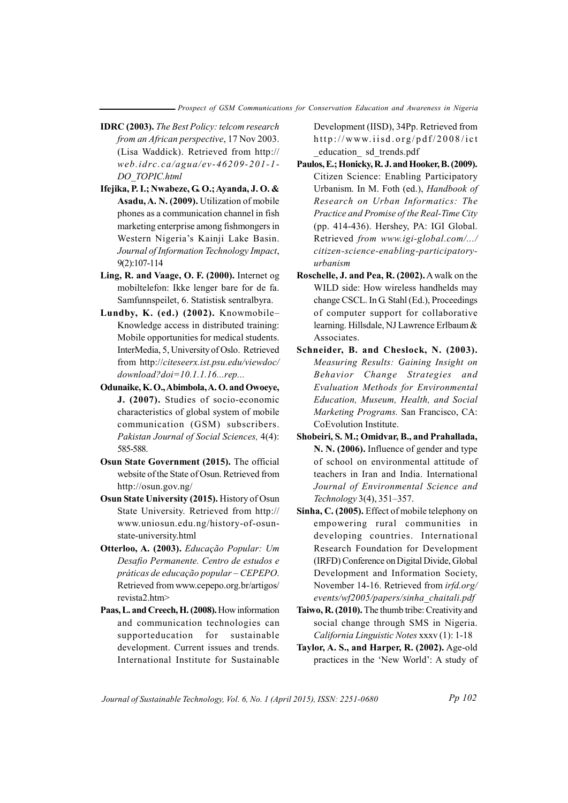- **IDRC** (2003). The Best Policy: telcom research from an African perspective, 17 Nov 2003. (Lisa Waddick). Retrieved from http:// web.idrc.ca/agua/ev-46209-201-1-DO TOPIC.html
- Ifejika, P. I.; Nwabeze, G. O.; Ayanda, J. O. & Asadu, A. N. (2009). Utilization of mobile phones as a communication channel in fish marketing enterprise among fishmongers in Western Nigeria's Kainji Lake Basin. Journal of Information Technology Impact, 9(2):107-114
- Ling, R. and Vaage, O. F. (2000). Internet og mobiltelefon: Ikke lenger bare for de fa. Samfunnspeilet, 6. Statistisk sentralbyra.
- Lundby, K. (ed.) (2002). Knowmobile-Knowledge access in distributed training: Mobile opportunities for medical students. InterMedia, 5, University of Oslo. Retrieved from http://citeseerx.ist.psu.edu/viewdoc/  $download?doi=10.1.1.16...rep...$
- Odunaike, K.O., Abimbola, A.O. and Owoeye, J. (2007). Studies of socio-economic characteristics of global system of mobile communication (GSM) subscribers. Pakistan Journal of Social Sciences, 4(4): 585-588.
- Osun State Government (2015). The official website of the State of Osun. Retrieved from http://osun.gov.ng/
- Osun State University (2015). History of Osun State University. Retrieved from http:// www.uniosun.edu.ng/history-of-osunstate-university.html
- Otterloo, A. (2003). Educação Popular: Um Desafio Permanente. Centro de estudos e práticas de educação popular - CEPEPO. Retrieved from www.cepepo.org.br/artigos/ revista2.htm>
- Paas, L. and Creech, H. (2008). How information and communication technologies can supporteducation for sustainable development. Current issues and trends. International Institute for Sustainable

Development (IISD), 34Pp. Retrieved from http://www.iisd.org/pdf/2008/ict education sd trends.pdf

- Paulos, E.; Honicky, R. J. and Hooker, B. (2009). Citizen Science: Enabling Participatory Urbanism. In M. Foth (ed.), Handbook of Research on Urban Informatics: The Practice and Promise of the Real-Time City (pp. 414-436). Hershey, PA: IGI Global. Retrieved from www.igi-global.com/.../ citizen-science-enabling-participatoryurbanism
- Roschelle, J. and Pea, R. (2002). A walk on the WILD side: How wireless handhelds may change CSCL. In G. Stahl (Ed.), Proceedings of computer support for collaborative learning. Hillsdale, NJ Lawrence Erlbaum & Associates.
- Schneider, B. and Cheslock, N. (2003). Measuring Results: Gaining Insight on Behavior Change Strategies and Evaluation Methods for Environmental Education, Museum, Health, and Social Marketing Programs. San Francisco, CA: CoEvolution Institute.
- Shobeiri, S. M.: Omidvar, B., and Prahallada, N. N. (2006). Influence of gender and type of school on environmental attitude of teachers in Iran and India. International Journal of Environmental Science and Technology 3(4), 351-357.
- Sinha, C. (2005). Effect of mobile telephony on empowering rural communities in developing countries. International Research Foundation for Development (IRFD) Conference on Digital Divide, Global Development and Information Society, November 14-16. Retrieved from *irfd.org*/ events/wf2005/papers/sinha chaitali.pdf
- Taiwo, R. (2010). The thumb tribe: Creativity and social change through SMS in Nigeria. California Linguistic Notes xxxv (1): 1-18
- Taylor, A. S., and Harper, R. (2002). Age-old practices in the 'New World': A study of